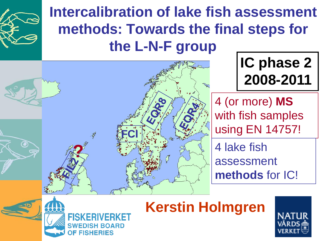

### **Intercalibration of lake fish assessment methods: Towards the final steps for the L-N-F group m**





**Kerstin Holmgren**

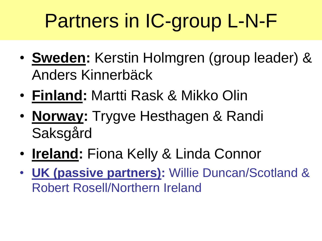# Partners in IC-group L-N-F

- **Sweden:** Kerstin Holmgren (group leader) & Anders Kinnerbäck
- **Finland:** Martti Rask & Mikko Olin
- **Norway:** Trygve Hesthagen & Randi Saksgård
- **Ireland:** Fiona Kelly & Linda Connor
- **UK (passive partners):** Willie Duncan/Scotland & Robert Rosell/Northern Ireland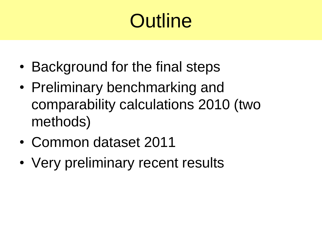# **Outline**

- Background for the final steps
- Preliminary benchmarking and comparability calculations 2010 (two methods)
- Common dataset 2011
- Very preliminary recent results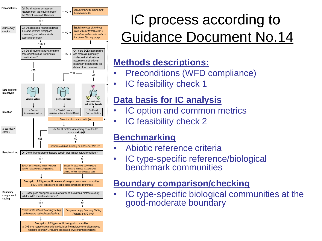

### IC process according to Guidance Document No.14

#### **Methods descriptions:**

- Preconditions (WFD compliance)
- IC feasibility check 1

#### **Data basis for IC analysis**

- IC option and common metrics
- IC feasibility check 2

#### **Benchmarking**

- Abiotic reference criteria
- IC type-specific reference/biological benchmark communities

#### **Boundary comparison/checking**

IC type-specific biological communities at the good-moderate boundary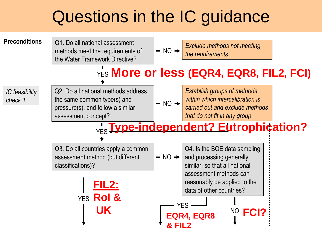## Questions in the IC guidance

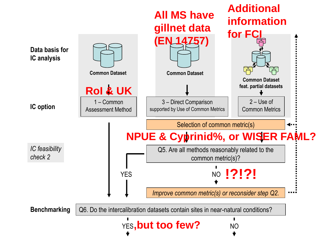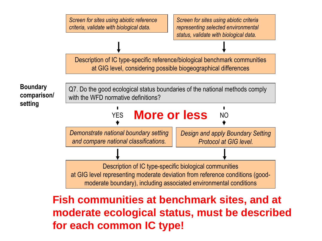

### **Fish communities at benchmark sites, and at moderate ecological status, must be described for each common IC type!**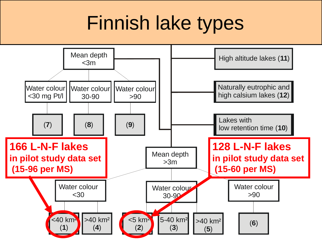# Finnish lake types

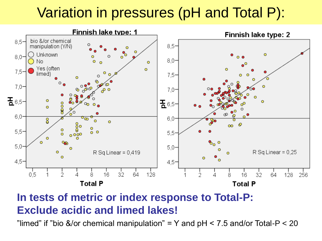### Variation in pressures (pH and Total P):



#### **In tests of metric or index response to Total-P: Exclude acidic and limed lakes!**

"limed" if "bio &/or chemical manipulation" = Y and  $pH < 7.5$  and/or Total-P  $<$  20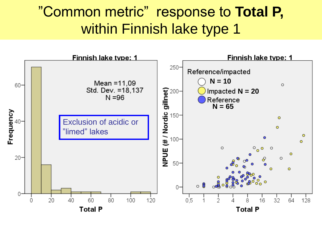### "Common metric" response to **Total P,**  within Finnish lake type 1

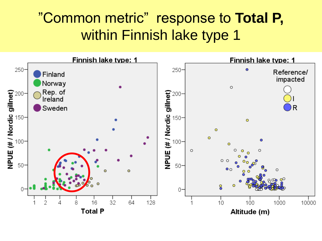### "Common metric" response to **Total P,**  within Finnish lake type 1

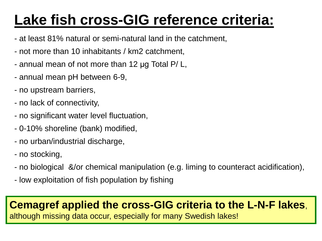## **Lake fish cross-GIG reference criteria:**

- at least 81% natural or semi-natural land in the catchment,
- not more than 10 inhabitants / km2 catchment,
- annual mean of not more than 12 μg Total P/ L,
- annual mean pH between 6-9,
- no upstream barriers,
- no lack of connectivity,
- no significant water level fluctuation,
- 0-10% shoreline (bank) modified,
- no urban/industrial discharge,
- no stocking,
- no biological &/or chemical manipulation (e.g. liming to counteract acidification),
- low exploitation of fish population by fishing

#### **Cemagref applied the cross-GIG criteria to the L-N-F lakes**,

although missing data occur, especially for many Swedish lakes!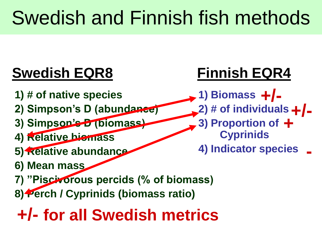# Swedish and Finnish fish methods

## **Swedish EQR8 Finnish EQR4**

- **1) # of native species**
- **2) Simpson's D (abundance)**
- **3) Simpson's D (biomass)**
- **4) Relative biomass**
- **5) Relative abundance**
- **6) Mean mass**
- **7) "Piscivorous percids (% of biomass)**
- **8) Perch / Cyprinids (biomass ratio)**

## **+/- for all Swedish metrics**

**1) Biomass +/- 2) # of individuals +/- 3) Proportion of + Cyprinids 4) Indicator species -**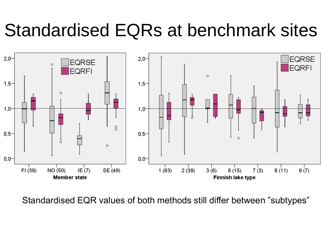# Standardised EQRs at benchmark sites



Standardised EQR values of both methods still differ between "subtypes"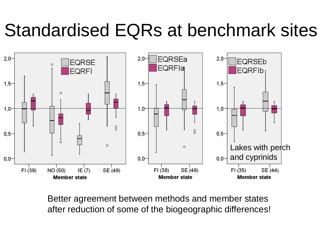# Standardised EQRs at benchmark sites



Better agreement between methods and member states after reduction of some of the biogeographic differences!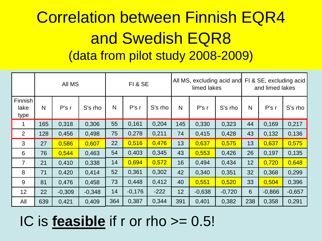## Correlation between Finnish EQR4 and Swedish EQR8 (data from pilot study 2008-2009)

|                         |     | All MS   |          | FI & SE |          |         |     | limed lakes | All MS, excluding acid and | FI & SE, excluding acid<br>and limed lakes |          |          |
|-------------------------|-----|----------|----------|---------|----------|---------|-----|-------------|----------------------------|--------------------------------------------|----------|----------|
| Finnish<br>lake<br>type | N   | P's r    | S's rho  | N       | P's r    | S's rho | N   | P's r       | S's rho                    | N                                          | P's r    | S's rho  |
|                         | 165 | 0,318    | 0,306    | 55      | 0,161    | 0,204   | 145 | 0,330       | 0,323                      | 44                                         | 0,169    | 0,217    |
| 2                       | 128 | 0,456    | 0,498    | 75      | 0,278    | 0,211   | 74  | 0,415       | 0,428                      | 43                                         | 0,132    | 0,136    |
| 3                       | 27  | 0,586    | 0,607    | 22      | 0,516    | 0,476   | 13  | 0,637       | 0,575                      | 13                                         | 0,637    | 0,575    |
| 6                       | 76  | 0,544    | 0,463    | 54      | 0,403    | 0,345   | 43  | 0,553       | 0,426                      | 26                                         | 0,197    | 0,135    |
| $\overline{7}$          | 21  | 0,410    | 0,338    | 14      | 0,694    | 0,572   | 16  | 0,494       | 0,434                      | 12                                         | 0,720    | 0,648    |
| 8                       | 71  | 0,420    | 0,414    | 52      | 0,361    | 0,302   | 42  | 0,340       | 0,351                      | 32                                         | 0,368    | 0,299    |
| 9                       | 81  | 0,476    | 0,458    | 73      | 0,448    | 0,412   | 40  | 0,551       | 0,520                      | 33                                         | 0,504    | 0,396    |
| 12                      | 22  | $-0,309$ | $-0,348$ | 14      | $-0,176$ | $-222$  | 12  | $-0,638$    | $-0,720$                   | $6\overline{6}$                            | $-0,866$ | $-0,657$ |
| All                     | 639 | 0,421    | 0,409    | 364     | 0,387    | 0,344   | 391 | 0,401       | 0,382                      | 238                                        | 0,358    | 0,291    |

### IC is **feasible** if r or rho >= 0.5!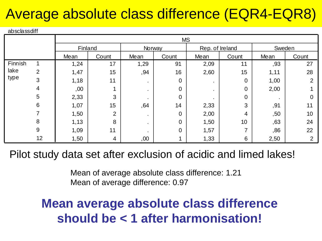### Average absolute class difference (EQR4-EQR8)

#### absclassdiff

|         |                | Finland |                | Norway |                | Rep. of Ireland |                | Sweden |       |  |
|---------|----------------|---------|----------------|--------|----------------|-----------------|----------------|--------|-------|--|
|         |                | Mean    | Count          | Mean   | Count          | Mean            | Count          | Mean   | Count |  |
| Finnish |                | 1,24    | 17             | 1,29   | 91             | 2,09            | 11             | ,93    | 27    |  |
| lake    | $\overline{2}$ | 1,47    | 15             | ,94    | 16             | 2,60            | 15             | 1,11   | 28    |  |
| type    | 3              | 1,18    | 11             | ٠      | 0              |                 | 0              | 1,00   | ⌒     |  |
|         | 4              | ,00     |                | ٠      | 0              |                 | $\overline{0}$ | 2,00   |       |  |
|         | 5              | 2,33    | 3              | ٠      | 0              |                 | $\overline{0}$ |        |       |  |
|         | 6              | 1,07    | 15             | ,64    | 14             | 2,33            | 3              | ,91    | 11    |  |
|         |                | 1,50    | $\overline{2}$ | ٠      | $\overline{0}$ | 2,00            | 4              | ,50    | 10    |  |
|         | 8              | 1,13    | 8              | ٠.     | $\overline{0}$ | 1,50            | 10             | ,63    | 24    |  |
|         | 9              | 1,09    | 11             |        | $\overline{0}$ | 1,57            |                | ,86    | 22    |  |
|         | 12             | 1,50    | 4              | ,00    |                | 1,33            | 6              | 2,50   | ⌒     |  |

Pilot study data set after exclusion of acidic and limed lakes!

Mean of average absolute class difference: 1.21 Mean of average difference: 0.97

### **Mean average absolute class difference should be < 1 after harmonisation!**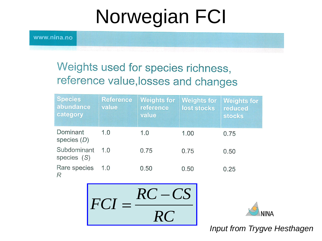# Norwegian FCI

www.nina.no

### Weights used for species richness, reference value, losses and changes

| <b>Species</b><br>abundance<br>category | <b>Reference</b><br>value | <b>Weights for</b><br>reference<br>value | <b>Weights for</b><br>lost stocks | <b>Weights for</b><br>reduced<br><b>stocks</b> |
|-----------------------------------------|---------------------------|------------------------------------------|-----------------------------------|------------------------------------------------|
| Dominant<br>species $(D)$               | 1.0                       | 1.0                                      | 1.00                              | 0.75                                           |
| Subdominant<br>species $(S)$            | 1.0                       | 0.75                                     | 0.75                              | 0.50                                           |
| Rare species<br>R                       | 1.0                       | 0.50                                     | 0.50                              | 0.25                                           |





**Input from Trygve Hesthagen**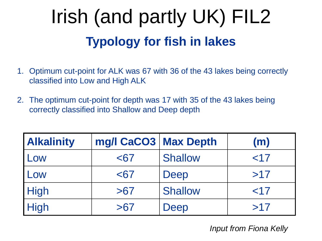# **Typology for fish in lakes** Irish (and partly UK) FIL2

- 1. Optimum cut-point for ALK was 67 with 36 of the 43 lakes being correctly classified into Low and High ALK
- 2. The optimum cut-point for depth was 17 with 35 of the 43 lakes being correctly classified into Shallow and Deep depth

| <b>Alkalinity</b> | mg/l CaCO3   Max Depth |                | (m)    |
|-------------------|------------------------|----------------|--------|
| Low               | $67$                   | <b>Shallow</b> | $<$ 17 |
| Low               | $67$                   | Deep           | >17    |
| <b>High</b>       | >67                    | <b>Shallow</b> | $<$ 17 |
| <b>High</b>       | >67                    | Deep           | >17    |

*Input from Fiona Kelly*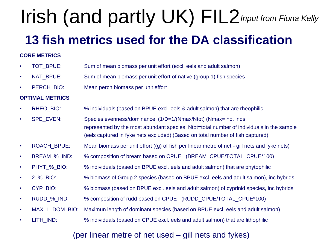# Irish (and partly UK) FIL2*Input from Fiona Kelly*

### **13 fish metrics used for the DA classification**

#### **CORE METRICS**

- TOT BPUE: Sum of mean biomass per unit effort (excl. eels and adult salmon)
- NAT\_BPUE: Sum of mean biomass per unit effort of native (group 1) fish species
- PERCH BIO: Mean perch biomass per unit effort

#### **OPTIMAL METRICS**

- RHEO\_BIO: % individuals (based on BPUE excl. eels & adult salmon) that are rheophilic
- SPE\_EVEN: Species evenness/dominance (1/D=1/(Nmax/Ntot) (Nmax= no. inds represented by the most abundant species, Ntot=total number of individuals in the sample (eels captured in fyke nets excluded) (Based on total number of fish captured)
- ROACH BPUE: Mean biomass per unit effort ((g) of fish per linear metre of net gill nets and fyke nets)
- BREAM % IND: % composition of bream based on CPUE (BREAM\_CPUE/TOTAL\_CPUE\*100)
- PHYT % BIO: % individuals (based on BPUE excl. eels and adult salmon) that are phytophilic
- 2 % BIO: % biomass of Group 2 species (based on BPUE excl. eels and adult salmon), inc hybrids
- CYP\_BIO: % biomass (based on BPUE excl. eels and adult salmon) of cyprinid species, inc hybrids
- RUDD\_%\_IND: % composition of rudd based on CPUE (RUDD\_CPUE/TOTAL\_CPUE\*100)
- MAX L\_DOM\_BIO: Maximun length of dominant species (based on BPUE excl. eels and adult salmon)
- LITH IND:  $\frac{1}{2}$  % individuals (based on CPUE excl. eels and adult salmon) that are lithophilic

#### (per linear metre of net used – gill nets and fykes)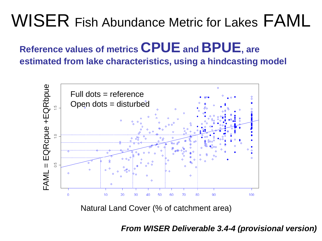## WISER Fish Abundance Metric for Lakes FAML

### **Reference values of metrics CPUE and BPUE, are estimated from lake characteristics, using a hindcasting model**



Natural Land Cover (% of catchment area)

*From WISER Deliverable 3.4-4 (provisional version)*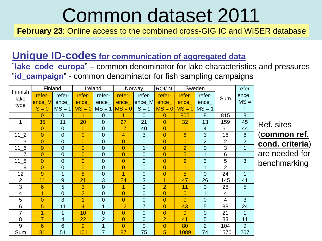# Common dataset 2011

**February 23:** Online access to the combined cross-GIG IC and WISER database

#### **Unique ID-codes for communication of aggregated data**

"**lake\_code\_europa**" – common denominator for lake characteristics and pressures "**id\_campaign**" - common denominator for fish sampling campaigns

|                 |                | Finland                | Ireland           |                |                      | Norway         | <b>ROI/NI</b>  |                   | Sweden         |                | refer-          |
|-----------------|----------------|------------------------|-------------------|----------------|----------------------|----------------|----------------|-------------------|----------------|----------------|-----------------|
| Finnish<br>lake | refer-         | refer-                 | refer-            | refer-         | refer-               | refer-         | refer-         | refer-            | refer-         | Sum            | ence_           |
| type            | <u>lence_M</u> | $enc$ <sub>e</sub> $-$ | ence              |                | $enc$ $e$            | ence_M         | $enc$ $e$      | ence              | $enc$ ence     |                | $MS =$          |
|                 | $S = 0$        |                        | $MS = 1$ $MS = 0$ | $MS = 1$       | $MS = 0$             | $S = 1$        |                | $MS = 0$ $MS = 0$ | $MS = 1$       |                | 1               |
|                 | $\Omega$       | $\overline{0}$         | 1                 | $\overline{0}$ | 1                    | $\Omega$       | $\overline{0}$ | 805               | 8              | 815            | 8               |
| 1               | 35             | 11                     | 20                | $\overline{0}$ | 27                   | 21             | $\overline{0}$ | 32                | 13             | 159            | 45              |
| 111             | $\overline{0}$ | $\mathbf 0$            | $\overline{0}$    | $\overline{0}$ | 17                   | 40             | $\overline{0}$ | $\overline{0}$    | $\overline{4}$ | 61             | 44              |
| $11_2$          | $\overline{0}$ | $\overline{0}$         | $\overline{0}$    | $\overline{0}$ | $\overline{4}$       | 3              | $\overline{0}$ | 6                 | 3              | 16             | 6               |
| $11_3$          | $\overline{0}$ | $\mathbf{0}$           | $\overline{0}$    | $\overline{0}$ | $\overline{0}$       | $\overline{0}$ | $\overline{0}$ | $\overline{0}$    | $\overline{2}$ | $\overline{2}$ | $\overline{2}$  |
| $11\_6$         | $\overline{0}$ | $\overline{0}$         | $\overline{0}$    | $\overline{0}$ | $\overline{0}$       | $\mathbf{1}$   | $\overline{0}$ | $\overline{2}$    | $\overline{0}$ | 3              | $\mathbf{1}$    |
| 11 <sub>7</sub> | $\overline{0}$ | $\overline{0}$         | $\overline{0}$    | $\overline{0}$ | $\overline{0}$       | $\overline{0}$ | $\overline{0}$ | 5                 | 1              | 6              | 1               |
| $11_8$          | $\overline{0}$ | $\overline{0}$         | $\overline{0}$    | $\overline{0}$ | $\overline{0}$       | $\overline{0}$ | $\overline{0}$ | $\overline{2}$    | 3              | 5              | 3               |
| $11_9$          | $\overline{0}$ | $\overline{0}$         | $\overline{0}$    | $\overline{0}$ | $\overline{0}$       | $\overline{0}$ | $\overline{0}$ | $\overline{1}$    | $\mathbf{1}$   | $\overline{2}$ | $\mathbf{1}$    |
| 12              | 9              | 1                      | 8                 | $\overline{0}$ | $\overline{1}$       | $\Omega$       | $\overline{0}$ | 5                 | $\overline{0}$ | 24             | 1               |
| $\overline{2}$  | 11             | 9                      | 21                | 3              | 24                   | 3              | $\overline{1}$ | 47                | 26             | 145            | 41              |
| 3               | $6\phantom{1}$ | 5                      | 3                 | $\overline{0}$ | $\blacktriangleleft$ | $\overline{0}$ | $\overline{2}$ | 11                | $\overline{0}$ | 28             | $5\overline{)}$ |
| 4               | $\overline{1}$ | $\mathbf{0}$           | $\overline{2}$    | $\overline{0}$ | $\overline{0}$       | $\overline{0}$ | $\overline{0}$ | $\overline{0}$    | 1              | 4              | 1               |
| 5               | $\overline{0}$ | 3                      | 1                 | $\overline{0}$ | $\overline{0}$       | $\overline{0}$ | $\overline{0}$ | $\Omega$          | $\overline{0}$ | 4              | $\overline{3}$  |
| 6               | 5              | 11                     | $\overline{4}$    | 1              | 12                   | $\overline{7}$ | $\overline{0}$ | 43                | 5              | 88             | 24              |
| $\overline{7}$  | $\overline{1}$ | 1                      | 10                | $\overline{0}$ | $\overline{0}$       | $\overline{0}$ | $\overline{0}$ | 9                 | $\overline{0}$ | 21             | 1               |
| 8               | $\overline{7}$ | $\overline{4}$         | 22                | $\overline{2}$ | $\overline{0}$       | $\Omega$       | $\overline{2}$ | 41                | 5              | 83             | 11              |
| 9               | $6\phantom{1}$ | $6\phantom{1}6$        | 9                 | 1              | $\overline{0}$       | $\Omega$       | $\overline{0}$ | 80                | $\overline{2}$ | 104            | 9               |
| Sum             | 81             | 51                     | 101               | $\overline{7}$ | 87                   | 75             | 5              | 1089              | 74             | 1570           | 207             |

Ref. sites (**common ref. cond. criteria**) are needed for benchmarking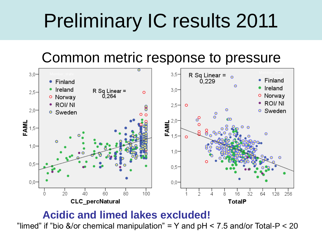### Common metric response to pressure



#### **Acidic and limed lakes excluded!**

"limed" if "bio &/or chemical manipulation" = Y and  $pH < 7.5$  and/or Total-P  $<$  20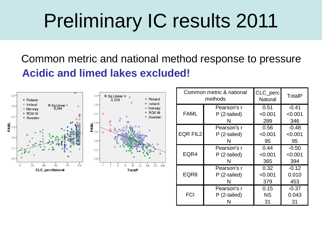Common metric and national method response to pressure **Acidic and limed lakes excluded!** 



|                 | Common metric & national<br>methods | CLC_perc<br><b>Natural</b> | TotalP  |
|-----------------|-------------------------------------|----------------------------|---------|
|                 | Pearson's r                         | 0.51                       | $-0.41$ |
| <b>FAML</b>     | P (2-tailed)                        | < 0.001                    | < 0.001 |
|                 |                                     | 289                        | 346     |
|                 | Pearson's r                         | 0.56                       | $-0.48$ |
| <b>EQR FIL2</b> | P (2-tailed)                        | < 0.001                    | < 0.001 |
|                 | N                                   | 95                         | 95      |
|                 | Pearson's r                         | 0.44                       | $-0.50$ |
| EQR4            | P (2-tailed)                        | < 0.001                    | < 0.001 |
|                 | N                                   | 365                        | 394     |
|                 | Pearson's r                         | 0.32                       | $-0.12$ |
| EQR8            | P (2-tailed)                        | < 0.001                    | 0.010   |
|                 | N                                   | 379                        | 453     |
|                 | Pearson's r                         | 0.15                       | $-0.37$ |
| <b>FCI</b>      | P (2-tailed)                        | <b>NS</b>                  | 0.043   |
|                 |                                     | 31                         | 31      |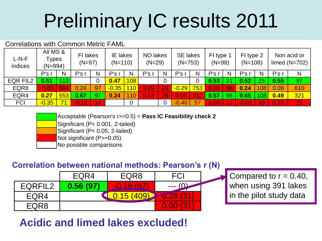#### Correlations with Common Metric FAML

| L-N-F<br>indices | All MS &<br>Types<br>$(N=994)$ |     | FI lakes<br>$(N=97)$ |           | <b>IE</b> lakes<br>NO lakes<br>$(N=29)$<br>$(N=110)$ |                 |       | <b>SE lakes</b><br>$(N=753)$ |         | FI type 1<br>$(N=98)$ |      | FI type 2<br>$(N=108)$ |                  | Non acid or<br>limed $(N=702)$ |       |     |
|------------------|--------------------------------|-----|----------------------|-----------|------------------------------------------------------|-----------------|-------|------------------------------|---------|-----------------------|------|------------------------|------------------|--------------------------------|-------|-----|
|                  | P's r                          | N   | P's <sub>1</sub>     | N         | P's                                                  | N               | P's r | N                            | P's     | N                     | P's  | N                      | P's <sub>1</sub> | N                              | P's r | N   |
| EQR FIL2         | 0.51                           | 113 |                      |           | 0.47                                                 | 108             |       | $\overline{0}$               |         | 0                     | 0.53 |                        | 0.52             | 25                             | 0.55  | 97  |
| EQR8             | $-0.00$                        | 994 | 0.24                 | 97        | $-0.35$                                              | 10 <sub>1</sub> | 0.09  | 29                           | $-0.29$ | 753                   | 0.06 | 98                     | 0.24             | 108                            | 0.09  | 610 |
| EQR4             | 0.27                           | 553 | 0.67                 | 97        | 0.24                                                 |                 | 0.14  | 29                           | 0.06    | 31                    | 0.57 | 98                     | 0.65             | 108                            | 0.49  | 321 |
| <b>FCI</b>       | $-0.35$                        | 71  | $-0.12$              | <b>14</b> |                                                      | 0               |       | $\overline{0}$               | $-0.40$ | 57                    | 0.06 |                        | $-0.05$          |                                | 0.10  | 25  |

Acceptable (Pearson's r>=0.5) = **Pass IC Feasibility check 2** 

Significant (P< 0.001, 2-tailed)

Significant (P< 0.05, 2-tailed)

Not significant (P>=0.05)

No possible comparisons

#### **Correlation between national methods: Pearson's r (N)**

|         | EQR4     | EQR8        | FCI                |  |
|---------|----------|-------------|--------------------|--|
| EQRFIL2 | 0.56(97) | $-0.18(97)$ | ---                |  |
| EQR4    |          |             | <b>A37</b>         |  |
| EQR8    |          |             | <b>437</b><br>0.00 |  |

Compared to  $r = 0.40$ , when using 391 lakes in the pilot study data

### **Acidic and limed lakes excluded!**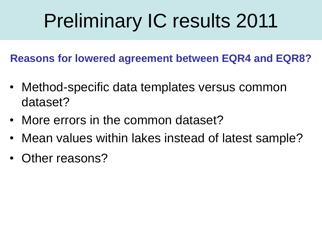**Reasons for lowered agreement between EQR4 and EQR8?**

- Method-specific data templates versus common dataset?
- More errors in the common dataset?
- Mean values within lakes instead of latest sample?
- Other reasons?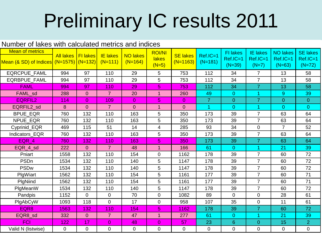| Number of lakes with calculated metrics and indices               |                      |                |                              |                              |                                          |                               |                       |                                         |                                        |                                           |                                         |  |
|-------------------------------------------------------------------|----------------------|----------------|------------------------------|------------------------------|------------------------------------------|-------------------------------|-----------------------|-----------------------------------------|----------------------------------------|-------------------------------------------|-----------------------------------------|--|
| <b>Mean of metrics</b><br>Mean (& SD) of Indices (N=1575) (N=132) | All lakes   FI lakes |                | <b>IE</b> lakes<br>$(N=111)$ | <b>NO lakes</b><br>$(N=164)$ | <b>ROI/NI</b><br><b>lakes</b><br>$(N=5)$ | <b>SE lakes</b><br>$(N=1163)$ | Ref.IC=1<br>$(N=181)$ | <b>FI</b> lakes<br>Ref.IC=1<br>$(N=39)$ | <b>IE lakes</b><br>Ref.IC=1<br>$(N=7)$ | <b>NO lakes</b><br>$Ref.IC=1$<br>$(N=63)$ | <b>SE lakes</b><br>Ref.IC=1<br>$(N=72)$ |  |
| EQRCPUE_FAML                                                      | 994                  | 97             | 110                          | 29                           | 5                                        | 753                           | 112                   | 34                                      | $\overline{7}$                         | 13                                        | 58                                      |  |
| <b>EQRBPUE FAML</b>                                               | 994                  | 97             | 110                          | 29                           | 5                                        | 753                           | 112                   | 34                                      | $\overline{7}$                         | 13                                        | 58                                      |  |
| <b>FAML</b>                                                       | 994                  | 97             | 110                          | 29                           | 5                                        | 753                           | 112                   | 34                                      | $\overline{7}$                         | 13                                        | 58                                      |  |
| FAML_sd                                                           | 288                  | $\overline{0}$ | 7 <sup>1</sup>               | 20                           | $\mathbf{1}$                             | 260                           | 49                    | $\mathbf{0}$                            | 1.                                     | 9                                         | 39                                      |  |
| <b>EQRFIL2</b>                                                    | 114                  | $\overline{0}$ | 109                          | $\overline{0}$               | 5                                        | $\overline{0}$                | $\overline{7}$        | $\mathbf{0}$                            | $\overline{7}$                         | $\overline{0}$                            | $\overline{0}$                          |  |
| EQRFIL2_sd                                                        | 8                    | $\overline{0}$ | $\overline{7}$               | $\overline{0}$               | 1                                        | $\overline{0}$                |                       | $\overline{0}$                          | 1                                      | $\overline{0}$                            | $\overline{0}$                          |  |
| <b>BPUE_EQR</b>                                                   | 760                  | 132            | 110                          | 163                          | 5                                        | 350                           | 173                   | 39                                      | $\overline{7}$                         | 63                                        | 64                                      |  |
| NPUE_EQR                                                          | 760                  | 132            | 110                          | 163                          | 5                                        | 350                           | 173                   | 39                                      | $\overline{7}$                         | 63                                        | 64                                      |  |
| Cyprinid_EQR                                                      | 469                  | 115            | 51                           | 14                           | 4                                        | 285                           | 93                    | 34                                      | 0                                      | $\overline{7}$                            | 52                                      |  |
| Indicators EQR                                                    | 760                  | 132            | 110                          | 163                          | 5                                        | 350                           | 173                   | 39                                      | $\overline{7}$                         | 63                                        | 64                                      |  |
| EQR 4                                                             | 760                  | 132            | 110                          | 163                          | 5                                        | 350                           | 173                   | 39                                      | $\overline{7}$                         | 63                                        | 64                                      |  |
| EQR_4_sd                                                          | 222                  | $\overline{0}$ | $\overline{7}$               | 48                           | $\mathbf 1$                              | 166                           | 61                    | $\overline{0}$                          | 1.                                     | 21                                        | 39                                      |  |
| Pniart                                                            | 1558                 | 132            | 110                          | 154                          | $\mathbf 0$                              | 1162                          | 178                   | 39                                      | $\overline{7}$                         | 60                                        | 72                                      |  |
| PSDn                                                              | 1534                 | 132            | 110                          | 140                          | 5                                        | 1147                          | 178                   | 39                                      | $\overline{7}$                         | 60                                        | 72                                      |  |
| <b>PSDw</b>                                                       | 1534                 | 132            | 110                          | 140                          | 5                                        | 1147                          | 178                   | 39                                      | $\overline{7}$                         | 60                                        | 72                                      |  |
| PlgWiart                                                          | 1562                 | 132            | 110                          | 154                          | 5                                        | 1161                          | 177                   | 39                                      | $\overline{7}$                         | 60                                        | 71                                      |  |
| PlgNiind                                                          | 1562                 | 132            | 110                          | 154                          | 5                                        | 1161                          | 177                   | 39                                      | $\overline{7}$                         | 60                                        | 71                                      |  |
| PlgMeanW                                                          | 1534                 | 132            | 110                          | 140                          | 5                                        | 1147                          | 178                   | 39                                      | $\overline{7}$                         | 60                                        | 72                                      |  |
| Pandpis                                                           | 1152                 | $\overline{0}$ | $\overline{0}$               | 70                           | $\overline{0}$                           | 1082                          | 89                    | 0                                       | 0                                      | 28                                        | 61                                      |  |
| PlgAbCyW                                                          | 1093                 | 118            | $\mathbf 0$                  | 17                           | $\mathbf 0$                              | 958                           | 107                   | 35                                      | 0                                      | 11                                        | 61                                      |  |
| EQR8                                                              | 1563                 | 132            | 110                          | 154                          | 5                                        | 1162                          | 178                   | 39                                      | $\overline{7}$                         | 60                                        | 72                                      |  |
| EQR8_sd                                                           | 332                  | $\overline{0}$ | $\overline{7}$               | 47                           | $\mathbf{1}$                             | 277                           | 61                    | $\overline{0}$                          | 1                                      | 21                                        | 39                                      |  |
| <b>FCI</b>                                                        | 122                  | 17             | $\overline{0}$               | 48                           | $\overline{0}$                           | 57                            | 23                    | 6                                       | $\overline{0}$                         | 15                                        | $\overline{2}$                          |  |
| Valid N (listwise)                                                | 0                    | $\overline{0}$ | $\mathbf 0$                  | 0                            | $\overline{0}$                           | $\overline{0}$                | $\pmb{0}$             | 0                                       | 0                                      | $\mathbf 0$                               | 0                                       |  |